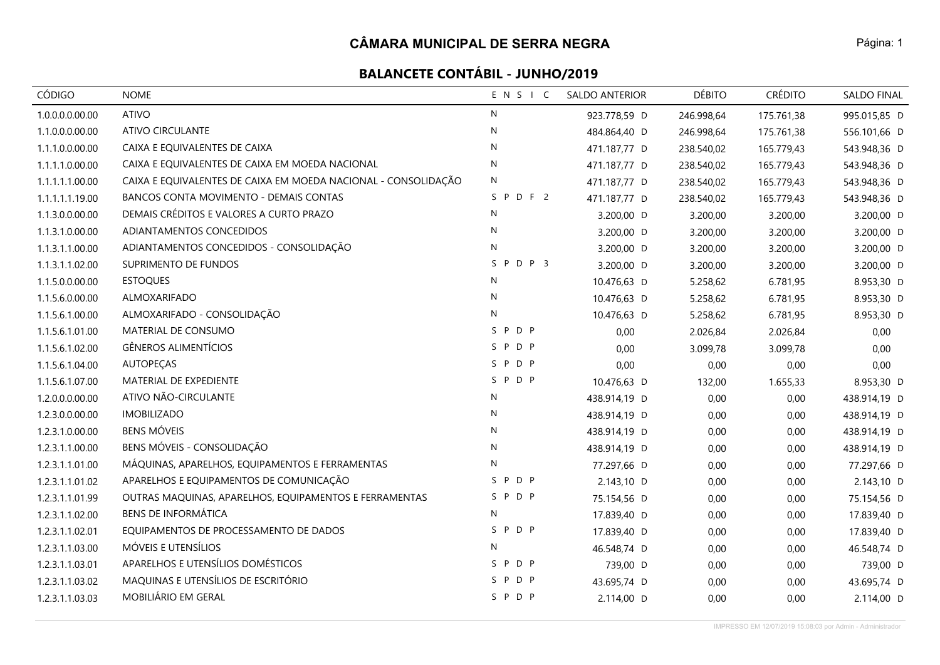| CÓDIGO          | <b>NOME</b>                                                    | ENSIC                  | <b>SALDO ANTERIOR</b> | <b>DÉBITO</b> | <b>CRÉDITO</b> | SALDO FINAL  |
|-----------------|----------------------------------------------------------------|------------------------|-----------------------|---------------|----------------|--------------|
| 1.0.0.0.0.00.00 | <b>ATIVO</b>                                                   | $\mathsf{N}$           | 923.778,59 D          | 246.998,64    | 175.761,38     | 995.015,85 D |
| 1.1.0.0.0.00.00 | <b>ATIVO CIRCULANTE</b>                                        | $\mathsf{N}$           | 484.864,40 D          | 246.998,64    | 175.761,38     | 556.101,66 D |
| 1.1.1.0.0.00.00 | CAIXA E EQUIVALENTES DE CAIXA                                  | N                      | 471.187,77 D          | 238.540,02    | 165.779,43     | 543.948,36 D |
| 1.1.1.1.0.00.00 | CAIXA E EQUIVALENTES DE CAIXA EM MOEDA NACIONAL                | $\mathsf{N}$           | 471.187,77 D          | 238.540,02    | 165.779,43     | 543.948,36 D |
| 1.1.1.1.1.00.00 | CAIXA E EQUIVALENTES DE CAIXA EM MOEDA NACIONAL - CONSOLIDAÇÃO | N                      | 471.187,77 D          | 238.540,02    | 165.779,43     | 543.948,36 D |
| 1.1.1.1.1.19.00 | BANCOS CONTA MOVIMENTO - DEMAIS CONTAS                         | SPDF2                  | 471.187,77 D          | 238.540,02    | 165.779,43     | 543.948,36 D |
| 1.1.3.0.0.00.00 | DEMAIS CRÉDITOS E VALORES A CURTO PRAZO                        | N                      | 3.200,00 D            | 3.200,00      | 3.200,00       | 3.200,00 D   |
| 1.1.3.1.0.00.00 | ADIANTAMENTOS CONCEDIDOS                                       | N                      | 3.200,00 D            | 3.200,00      | 3.200,00       | 3.200,00 D   |
| 1.1.3.1.1.00.00 | ADIANTAMENTOS CONCEDIDOS - CONSOLIDAÇÃO                        | N                      | 3.200,00 D            | 3.200,00      | 3.200,00       | 3.200,00 D   |
| 1.1.3.1.1.02.00 | SUPRIMENTO DE FUNDOS                                           | PDP <sub>3</sub><br>S. | 3.200,00 D            | 3.200,00      | 3.200,00       | 3.200,00 D   |
| 1.1.5.0.0.00.00 | <b>ESTOQUES</b>                                                | N                      | 10.476,63 D           | 5.258,62      | 6.781,95       | 8.953,30 D   |
| 1.1.5.6.0.00.00 | ALMOXARIFADO                                                   | N                      | 10.476,63 D           | 5.258,62      | 6.781,95       | 8.953,30 D   |
| 1.1.5.6.1.00.00 | ALMOXARIFADO - CONSOLIDAÇÃO                                    | $\mathsf{N}$           | 10.476,63 D           | 5.258,62      | 6.781,95       | 8.953,30 D   |
| 1.1.5.6.1.01.00 | MATERIAL DE CONSUMO                                            | SPDP                   | 0,00                  | 2.026,84      | 2.026,84       | 0,00         |
| 1.1.5.6.1.02.00 | <b>GÊNEROS ALIMENTÍCIOS</b>                                    | SPDP                   | 0,00                  | 3.099,78      | 3.099,78       | 0,00         |
| 1.1.5.6.1.04.00 | <b>AUTOPECAS</b>                                               | SPDP                   | 0,00                  | 0,00          | 0,00           | 0,00         |
| 1.1.5.6.1.07.00 | MATERIAL DE EXPEDIENTE                                         | SPDP                   | 10.476,63 D           | 132,00        | 1.655,33       | 8.953,30 D   |
| 1.2.0.0.0.00.00 | ATIVO NÃO-CIRCULANTE                                           | $\mathsf{N}$           | 438.914,19 D          | 0,00          | 0,00           | 438.914,19 D |
| 1.2.3.0.0.00.00 | <b>IMOBILIZADO</b>                                             | N                      | 438.914,19 D          | 0,00          | 0,00           | 438.914,19 D |
| 1.2.3.1.0.00.00 | <b>BENS MÓVEIS</b>                                             | $\mathsf{N}$           | 438.914,19 D          | 0,00          | 0,00           | 438.914,19 D |
| 1.2.3.1.1.00.00 | BENS MÓVEIS - CONSOLIDAÇÃO                                     | N                      | 438.914,19 D          | 0,00          | 0,00           | 438.914,19 D |
| 1.2.3.1.1.01.00 | MÁQUINAS, APARELHOS, EQUIPAMENTOS E FERRAMENTAS                | $\mathsf{N}$           | 77.297,66 D           | 0,00          | 0,00           | 77.297,66 D  |
| 1.2.3.1.1.01.02 | APARELHOS E EQUIPAMENTOS DE COMUNICAÇÃO                        | P D P<br>S.            | 2.143,10 D            | 0,00          | 0,00           | 2.143,10 D   |
| 1.2.3.1.1.01.99 | OUTRAS MAQUINAS, APARELHOS, EQUIPAMENTOS E FERRAMENTAS         | SPDP                   | 75.154,56 D           | 0,00          | 0,00           | 75.154,56 D  |
| 1.2.3.1.1.02.00 | <b>BENS DE INFORMÁTICA</b>                                     | N                      | 17.839,40 D           | 0,00          | 0,00           | 17.839,40 D  |
| 1.2.3.1.1.02.01 | EQUIPAMENTOS DE PROCESSAMENTO DE DADOS                         | P D P<br>S.            | 17.839,40 D           | 0,00          | 0,00           | 17.839,40 D  |
| 1.2.3.1.1.03.00 | MÓVEIS E UTENSÍLIOS                                            | N                      | 46.548,74 D           | 0,00          | 0,00           | 46.548,74 D  |
| 1.2.3.1.1.03.01 | APARELHOS E UTENSÍLIOS DOMÉSTICOS                              | P D P<br>S.            | 739,00 D              | 0,00          | 0,00           | 739,00 D     |
| 1.2.3.1.1.03.02 | MAQUINAS E UTENSÍLIOS DE ESCRITÓRIO                            | P D P<br>S.            | 43.695,74 D           | 0,00          | 0,00           | 43.695,74 D  |
| 1.2.3.1.1.03.03 | MOBILIÁRIO EM GERAL                                            | SPDP                   | 2.114,00 D            | 0,00          | 0,00           | 2.114,00 D   |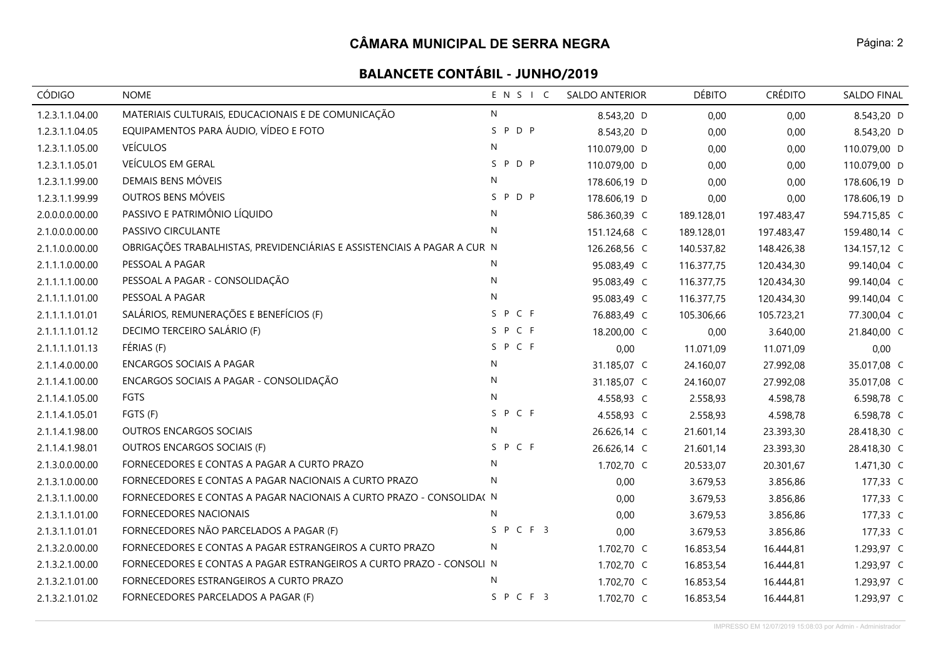# **BALANCETE CONTÁBIL - JUNHO/2019**

| CÓDIGO          | <b>NOME</b>                                                              | ENSIC        | <b>SALDO ANTERIOR</b> | <b>DÉBITO</b> | <b>CRÉDITO</b> | SALDO FINAL  |
|-----------------|--------------------------------------------------------------------------|--------------|-----------------------|---------------|----------------|--------------|
| 1.2.3.1.1.04.00 | MATERIAIS CULTURAIS, EDUCACIONAIS E DE COMUNICAÇÃO                       | N            | 8.543,20 D            | 0,00          | 0,00           | 8.543,20 D   |
| 1.2.3.1.1.04.05 | EQUIPAMENTOS PARA ÁUDIO, VÍDEO E FOTO                                    | SPDP         | 8.543,20 D            | 0,00          | 0,00           | 8.543,20 D   |
| 1.2.3.1.1.05.00 | <b>VEÍCULOS</b>                                                          | $\mathsf{N}$ | 110.079,00 D          | 0,00          | 0,00           | 110.079,00 D |
| 1.2.3.1.1.05.01 | VEÍCULOS EM GERAL                                                        | SPDP         | 110.079,00 D          | 0,00          | 0,00           | 110.079,00 D |
| 1.2.3.1.1.99.00 | DEMAIS BENS MÓVEIS                                                       | N            | 178.606,19 D          | 0,00          | 0,00           | 178.606,19 D |
| 1.2.3.1.1.99.99 | OUTROS BENS MÓVEIS                                                       | SPDP         | 178.606,19 D          | 0,00          | 0,00           | 178.606,19 D |
| 2.0.0.0.0.00.00 | PASSIVO E PATRIMÔNIO LÍQUIDO                                             | $\mathsf{N}$ | 586.360,39 C          | 189.128,01    | 197.483,47     | 594.715,85 C |
| 2.1.0.0.0.00.00 | PASSIVO CIRCULANTE                                                       | N            | 151.124,68 C          | 189.128,01    | 197.483,47     | 159.480,14 C |
| 2.1.1.0.0.00.00 | OBRIGAÇÕES TRABALHISTAS, PREVIDENCIÁRIAS E ASSISTENCIAIS A PAGAR A CUR N |              | 126.268,56 C          | 140.537,82    | 148.426,38     | 134.157,12 C |
| 2.1.1.1.0.00.00 | PESSOAL A PAGAR                                                          | N            | 95.083,49 C           | 116.377,75    | 120.434,30     | 99.140,04 C  |
| 2.1.1.1.1.00.00 | PESSOAL A PAGAR - CONSOLIDAÇÃO                                           | N            | 95.083,49 C           | 116.377,75    | 120.434,30     | 99.140,04 C  |
| 2.1.1.1.1.01.00 | PESSOAL A PAGAR                                                          | $\mathsf{N}$ | 95.083,49 C           | 116.377,75    | 120.434,30     | 99.140,04 C  |
| 2.1.1.1.1.01.01 | SALÁRIOS, REMUNERAÇÕES E BENEFÍCIOS (F)                                  | S P C F      | 76.883,49 C           | 105.306,66    | 105.723,21     | 77.300,04 C  |
| 2.1.1.1.1.01.12 | DECIMO TERCEIRO SALÁRIO (F)                                              | SPCF         | 18.200,00 C           | 0,00          | 3.640,00       | 21.840,00 C  |
| 2.1.1.1.1.01.13 | FÉRIAS (F)                                                               | SPCF         | 0,00                  | 11.071,09     | 11.071,09      | 0,00         |
| 2.1.1.4.0.00.00 | <b>ENCARGOS SOCIAIS A PAGAR</b>                                          | $\mathsf{N}$ | 31.185,07 C           | 24.160,07     | 27.992,08      | 35.017,08 C  |
| 2.1.1.4.1.00.00 | ENCARGOS SOCIAIS A PAGAR - CONSOLIDAÇÃO                                  | N            | 31.185,07 C           | 24.160,07     | 27.992,08      | 35.017,08 C  |
| 2.1.1.4.1.05.00 | FGTS                                                                     | N            | 4.558,93 C            | 2.558,93      | 4.598,78       | 6.598,78 C   |
| 2.1.1.4.1.05.01 | FGTS (F)                                                                 | SPCF         | 4.558,93 C            | 2.558,93      | 4.598,78       | 6.598,78 C   |
| 2.1.1.4.1.98.00 | <b>OUTROS ENCARGOS SOCIAIS</b>                                           | N            | 26.626,14 C           | 21.601,14     | 23.393,30      | 28.418,30 C  |
| 2.1.1.4.1.98.01 | OUTROS ENCARGOS SOCIAIS (F)                                              | S P C F      | 26.626,14 C           | 21.601,14     | 23.393,30      | 28.418,30 C  |
| 2.1.3.0.0.00.00 | FORNECEDORES E CONTAS A PAGAR A CURTO PRAZO                              | N            | 1.702,70 C            | 20.533,07     | 20.301,67      | 1.471,30 C   |
| 2.1.3.1.0.00.00 | FORNECEDORES E CONTAS A PAGAR NACIONAIS A CURTO PRAZO                    | N            | 0,00                  | 3.679,53      | 3.856,86       | 177,33 C     |
| 2.1.3.1.1.00.00 | FORNECEDORES E CONTAS A PAGAR NACIONAIS A CURTO PRAZO - CONSOLIDA( N     |              | 0,00                  | 3.679,53      | 3.856,86       | 177,33 C     |
| 2.1.3.1.1.01.00 | FORNECEDORES NACIONAIS                                                   | N            | 0,00                  | 3.679,53      | 3.856,86       | 177,33 C     |
| 2.1.3.1.1.01.01 | FORNECEDORES NÃO PARCELADOS A PAGAR (F)                                  | SPCF3        | 0,00                  | 3.679,53      | 3.856,86       | 177,33 C     |
| 2.1.3.2.0.00.00 | FORNECEDORES E CONTAS A PAGAR ESTRANGEIROS A CURTO PRAZO                 | N            | 1.702,70 C            | 16.853,54     | 16.444,81      | 1.293,97 C   |
| 2.1.3.2.1.00.00 | FORNECEDORES E CONTAS A PAGAR ESTRANGEIROS A CURTO PRAZO - CONSOLI N     |              | 1.702,70 C            | 16.853,54     | 16.444,81      | 1.293,97 C   |
| 2.1.3.2.1.01.00 | FORNECEDORES ESTRANGEIROS A CURTO PRAZO                                  | N            | 1.702,70 C            | 16.853,54     | 16.444,81      | 1.293,97 C   |
| 2.1.3.2.1.01.02 | FORNECEDORES PARCELADOS A PAGAR (F)                                      | SPCF3        | 1.702,70 C            | 16.853,54     | 16.444,81      | 1.293,97 C   |

IMPRESSO EM 12/07/2019 15:08:03 por Admin - Administrador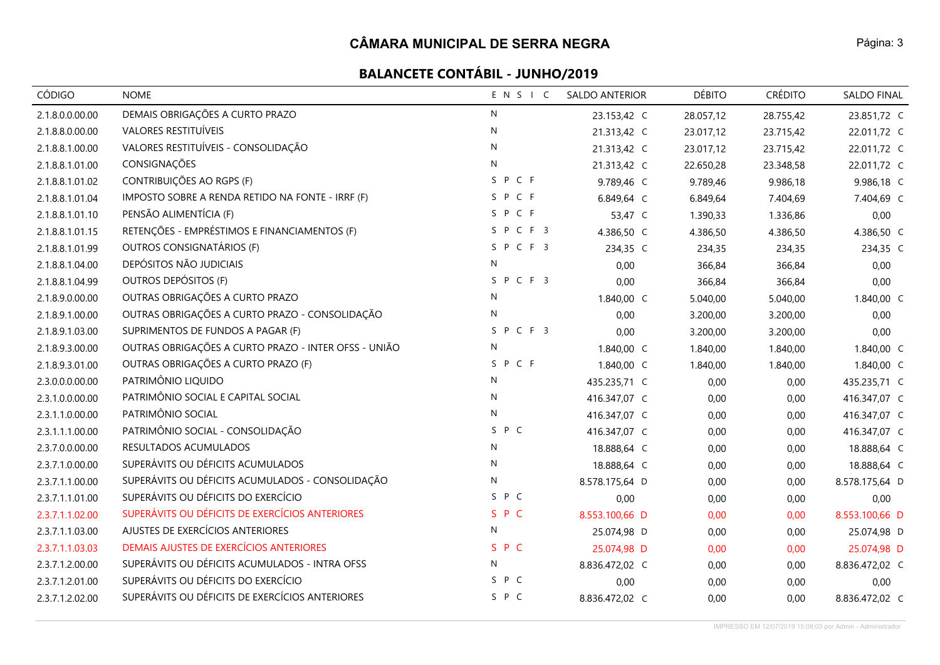| CÓDIGO          | <b>NOME</b>                                          | ENSIC        | <b>SALDO ANTERIOR</b> | <b>DÉBITO</b> | <b>CRÉDITO</b> | SALDO FINAL    |
|-----------------|------------------------------------------------------|--------------|-----------------------|---------------|----------------|----------------|
| 2.1.8.0.0.00.00 | DEMAIS OBRIGAÇÕES A CURTO PRAZO                      | N            | 23.153,42 C           | 28.057,12     | 28.755,42      | 23.851,72 C    |
| 2.1.8.8.0.00.00 | <b>VALORES RESTITUÍVEIS</b>                          | N            | 21.313,42 C           | 23.017,12     | 23.715,42      | 22.011,72 C    |
| 2.1.8.8.1.00.00 | VALORES RESTITUÍVEIS - CONSOLIDAÇÃO                  | N            | 21.313,42 C           | 23.017,12     | 23.715,42      | 22.011,72 C    |
| 2.1.8.8.1.01.00 | CONSIGNAÇÕES                                         | $\mathsf{N}$ | 21.313,42 C           | 22.650,28     | 23.348,58      | 22.011,72 C    |
| 2.1.8.8.1.01.02 | CONTRIBUIÇÕES AO RGPS (F)                            | SPCF         | 9.789,46 C            | 9.789,46      | 9.986,18       | 9.986,18 C     |
| 2.1.8.8.1.01.04 | IMPOSTO SOBRE A RENDA RETIDO NA FONTE - IRRF (F)     | SPCF         | 6.849,64 C            | 6.849,64      | 7.404,69       | 7.404,69 C     |
| 2.1.8.8.1.01.10 | PENSÃO ALIMENTÍCIA (F)                               | SPCF         | 53,47 C               | 1.390,33      | 1.336,86       | 0,00           |
| 2.1.8.8.1.01.15 | RETENÇÕES - EMPRÉSTIMOS E FINANCIAMENTOS (F)         | SPCF3        | 4.386,50 C            | 4.386,50      | 4.386,50       | 4.386,50 C     |
| 2.1.8.8.1.01.99 | OUTROS CONSIGNATÁRIOS (F)                            | SPCF3        | 234,35 C              | 234,35        | 234,35         | 234,35 C       |
| 2.1.8.8.1.04.00 | DEPÓSITOS NÃO JUDICIAIS                              | N            | 0,00                  | 366,84        | 366,84         | 0,00           |
| 2.1.8.8.1.04.99 | OUTROS DEPÓSITOS (F)                                 | SPCF3        | 0,00                  | 366,84        | 366,84         | 0,00           |
| 2.1.8.9.0.00.00 | OUTRAS OBRIGAÇÕES A CURTO PRAZO                      | N            | 1.840,00 C            | 5.040,00      | 5.040,00       | 1.840,00 C     |
| 2.1.8.9.1.00.00 | OUTRAS OBRIGAÇÕES A CURTO PRAZO - CONSOLIDAÇÃO       | N            | 0,00                  | 3.200,00      | 3.200,00       | 0,00           |
| 2.1.8.9.1.03.00 | SUPRIMENTOS DE FUNDOS A PAGAR (F)                    | SPCF3        | 0,00                  | 3.200,00      | 3.200,00       | 0,00           |
| 2.1.8.9.3.00.00 | OUTRAS OBRIGAÇÕES A CURTO PRAZO - INTER OFSS - UNIÃO | N            | 1.840,00 C            | 1.840,00      | 1.840,00       | 1.840,00 C     |
| 2.1.8.9.3.01.00 | OUTRAS OBRIGAÇÕES A CURTO PRAZO (F)                  | SPCF         | 1.840,00 C            | 1.840,00      | 1.840,00       | 1.840,00 C     |
| 2.3.0.0.0.00.00 | PATRIMÔNIO LIQUIDO                                   | N            | 435.235,71 C          | 0,00          | 0,00           | 435.235,71 C   |
| 2.3.1.0.0.00.00 | PATRIMÔNIO SOCIAL E CAPITAL SOCIAL                   | $\mathsf{N}$ | 416.347,07 C          | 0,00          | 0,00           | 416.347,07 C   |
| 2.3.1.1.0.00.00 | PATRIMÔNIO SOCIAL                                    | ${\sf N}$    | 416.347,07 C          | 0,00          | 0,00           | 416.347,07 C   |
| 2.3.1.1.1.00.00 | PATRIMÔNIO SOCIAL - CONSOLIDAÇÃO                     | S P C        | 416.347,07 C          | 0,00          | 0,00           | 416.347,07 C   |
| 2.3.7.0.0.00.00 | RESULTADOS ACUMULADOS                                | N            | 18.888,64 C           | 0,00          | 0,00           | 18.888,64 C    |
| 2.3.7.1.0.00.00 | SUPERÁVITS OU DÉFICITS ACUMULADOS                    | N            | 18.888,64 C           | 0,00          | 0,00           | 18.888,64 C    |
| 2.3.7.1.1.00.00 | SUPERÁVITS OU DÉFICITS ACUMULADOS - CONSOLIDAÇÃO     | N            | 8.578.175,64 D        | 0,00          | 0,00           | 8.578.175,64 D |
| 2.3.7.1.1.01.00 | SUPERÁVITS OU DÉFICITS DO EXERCÍCIO                  | S P C        | 0,00                  | 0,00          | 0,00           | 0,00           |
| 2.3.7.1.1.02.00 | SUPERÁVITS OU DÉFICITS DE EXERCÍCIOS ANTERIORES      | S P C        | 8.553.100,66 D        | 0,00          | 0,00           | 8.553.100,66 D |
| 2.3.7.1.1.03.00 | AJUSTES DE EXERCÍCIOS ANTERIORES                     | $\mathsf{N}$ | 25.074,98 D           | 0,00          | 0,00           | 25.074,98 D    |
| 2.3.7.1.1.03.03 | DEMAIS AJUSTES DE EXERCÍCIOS ANTERIORES              | SPC          | 25.074,98 D           | 0,00          | 0,00           | 25.074,98 D    |
| 2.3.7.1.2.00.00 | SUPERÁVITS OU DÉFICITS ACUMULADOS - INTRA OFSS       | N            | 8.836.472,02 C        | 0,00          | 0,00           | 8.836.472,02 C |
| 2.3.7.1.2.01.00 | SUPERÁVITS OU DÉFICITS DO EXERCÍCIO                  | SPC          | 0,00                  | 0,00          | 0,00           | 0,00           |
| 2.3.7.1.2.02.00 | SUPERÁVITS OU DÉFICITS DE EXERCÍCIOS ANTERIORES      | S P C        | 8.836.472,02 C        | 0,00          | 0,00           | 8.836.472,02 C |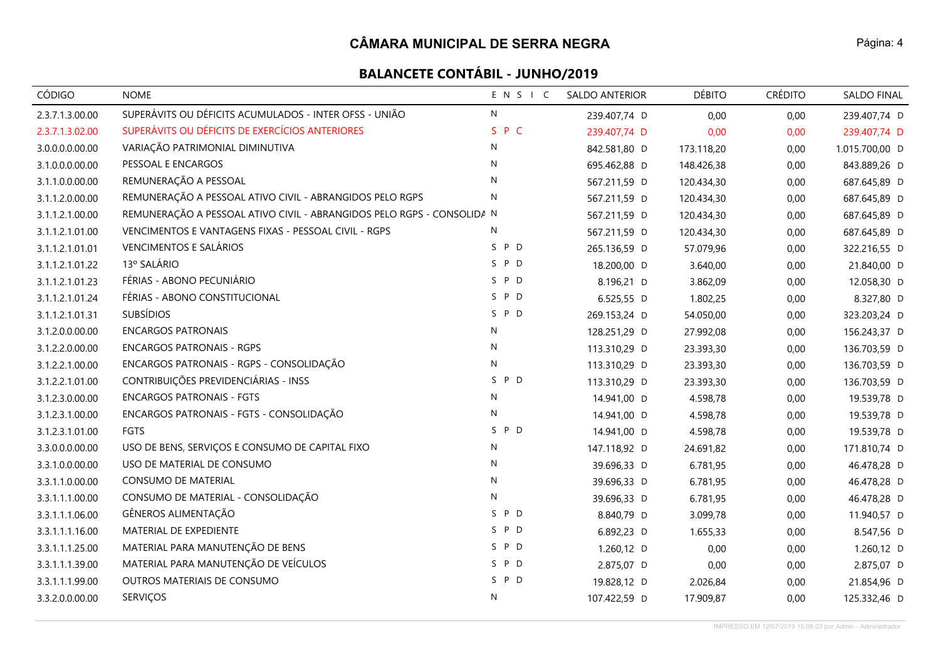| CÓDIGO          | <b>NOME</b>                                                            | ENSIC        | <b>SALDO ANTERIOR</b> | <b>DÉBITO</b> | <b>CRÉDITO</b> | SALDO FINAL    |
|-----------------|------------------------------------------------------------------------|--------------|-----------------------|---------------|----------------|----------------|
| 2.3.7.1.3.00.00 | SUPERÁVITS OU DÉFICITS ACUMULADOS - INTER OFSS - UNIÃO                 | ${\sf N}$    | 239.407,74 D          | 0,00          | 0,00           | 239.407,74 D   |
| 2.3.7.1.3.02.00 | SUPERÁVITS OU DÉFICITS DE EXERCÍCIOS ANTERIORES                        | S P C        | 239.407,74 D          | 0,00          | 0,00           | 239.407,74 D   |
| 3.0.0.0.0.00.00 | VARIAÇÃO PATRIMONIAL DIMINUTIVA                                        | N            | 842.581,80 D          | 173.118,20    | 0,00           | 1.015.700,00 D |
| 3.1.0.0.0.00.00 | PESSOAL E ENCARGOS                                                     | N            | 695.462,88 D          | 148.426,38    | 0,00           | 843.889,26 D   |
| 3.1.1.0.0.00.00 | REMUNERAÇÃO A PESSOAL                                                  | N            | 567.211,59 D          | 120.434,30    | 0,00           | 687.645,89 D   |
| 3.1.1.2.0.00.00 | REMUNERAÇÃO A PESSOAL ATIVO CIVIL - ABRANGIDOS PELO RGPS               | $\mathsf{N}$ | 567.211,59 D          | 120.434,30    | 0,00           | 687.645,89 D   |
| 3.1.1.2.1.00.00 | REMUNERAÇÃO A PESSOAL ATIVO CIVIL - ABRANGIDOS PELO RGPS - CONSOLIDA N |              | 567.211,59 D          | 120.434,30    | 0,00           | 687.645,89 D   |
| 3.1.1.2.1.01.00 | VENCIMENTOS E VANTAGENS FIXAS - PESSOAL CIVIL - RGPS                   | N            | 567.211,59 D          | 120.434,30    | 0,00           | 687.645,89 D   |
| 3.1.1.2.1.01.01 | <b>VENCIMENTOS E SALÁRIOS</b>                                          | S P D        | 265.136,59 D          | 57.079,96     | 0,00           | 322.216,55 D   |
| 3.1.1.2.1.01.22 | 13º SALÁRIO                                                            | S P D        | 18.200,00 D           | 3.640,00      | 0,00           | 21.840,00 D    |
| 3.1.1.2.1.01.23 | FÉRIAS - ABONO PECUNIÁRIO                                              | S P D        | 8.196,21 D            | 3.862,09      | 0,00           | 12.058,30 D    |
| 3.1.1.2.1.01.24 | FÉRIAS - ABONO CONSTITUCIONAL                                          | S P D        | 6.525,55 D            | 1.802,25      | 0,00           | 8.327,80 D     |
| 3.1.1.2.1.01.31 | <b>SUBSÍDIOS</b>                                                       | S P D        | 269.153,24 D          | 54.050,00     | 0,00           | 323.203,24 D   |
| 3.1.2.0.0.00.00 | <b>ENCARGOS PATRONAIS</b>                                              | $\mathsf{N}$ | 128.251,29 D          | 27.992,08     | 0,00           | 156.243,37 D   |
| 3.1.2.2.0.00.00 | <b>ENCARGOS PATRONAIS - RGPS</b>                                       | ${\sf N}$    | 113.310,29 D          | 23.393,30     | 0,00           | 136.703,59 D   |
| 3.1.2.2.1.00.00 | ENCARGOS PATRONAIS - RGPS - CONSOLIDAÇÃO                               | ${\sf N}$    | 113.310,29 D          | 23.393,30     | 0,00           | 136.703,59 D   |
| 3.1.2.2.1.01.00 | CONTRIBUIÇÕES PREVIDENCIÁRIAS - INSS                                   | S P D        | 113.310,29 D          | 23.393,30     | 0,00           | 136.703,59 D   |
| 3.1.2.3.0.00.00 | <b>ENCARGOS PATRONAIS - FGTS</b>                                       | N            | 14.941,00 D           | 4.598,78      | 0,00           | 19.539,78 D    |
| 3.1.2.3.1.00.00 | ENCARGOS PATRONAIS - FGTS - CONSOLIDAÇÃO                               | N            | 14.941,00 D           | 4.598,78      | 0,00           | 19.539,78 D    |
| 3.1.2.3.1.01.00 | <b>FGTS</b>                                                            | S P D        | 14.941,00 D           | 4.598,78      | 0,00           | 19.539,78 D    |
| 3.3.0.0.0.00.00 | USO DE BENS, SERVIÇOS E CONSUMO DE CAPITAL FIXO                        | N            | 147.118,92 D          | 24.691,82     | 0,00           | 171.810,74 D   |
| 3.3.1.0.0.00.00 | USO DE MATERIAL DE CONSUMO                                             | N            | 39.696,33 D           | 6.781,95      | 0,00           | 46.478,28 D    |
| 3.3.1.1.0.00.00 | CONSUMO DE MATERIAL                                                    | N            | 39.696,33 D           | 6.781,95      | 0,00           | 46.478,28 D    |
| 3.3.1.1.1.00.00 | CONSUMO DE MATERIAL - CONSOLIDAÇÃO                                     | ${\sf N}$    | 39.696,33 D           | 6.781,95      | 0,00           | 46.478,28 D    |
| 3.3.1.1.1.06.00 | GÊNEROS ALIMENTAÇÃO                                                    | S P D        | 8.840,79 D            | 3.099,78      | 0,00           | 11.940,57 D    |
| 3.3.1.1.1.16.00 | MATERIAL DE EXPEDIENTE                                                 | S P D        | 6.892,23 D            | 1.655,33      | 0,00           | 8.547,56 D     |
| 3.3.1.1.1.25.00 | MATERIAL PARA MANUTENÇÃO DE BENS                                       | S P D        | 1.260,12 D            | 0,00          | 0,00           | 1.260,12 D     |
| 3.3.1.1.1.39.00 | MATERIAL PARA MANUTENÇÃO DE VEÍCULOS                                   | S P D        | 2.875,07 D            | 0,00          | 0,00           | 2.875,07 D     |
| 3.3.1.1.1.99.00 | OUTROS MATERIAIS DE CONSUMO                                            | S P D        | 19.828,12 D           | 2.026,84      | 0,00           | 21.854,96 D    |
| 3.3.2.0.0.00.00 | SERVIÇOS                                                               | ${\sf N}$    | 107.422,59 D          | 17.909,87     | 0,00           | 125.332,46 D   |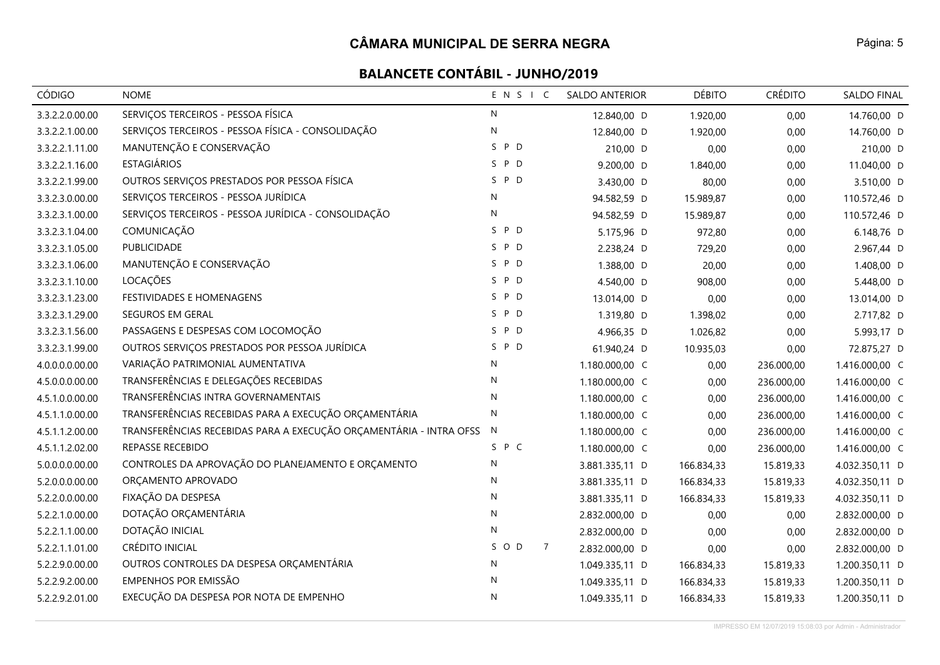| CÓDIGO          | <b>NOME</b>                                                        | ENSIC                   | <b>SALDO ANTERIOR</b> | <b>DÉBITO</b> | <b>CRÉDITO</b> | SALDO FINAL    |
|-----------------|--------------------------------------------------------------------|-------------------------|-----------------------|---------------|----------------|----------------|
| 3.3.2.2.0.00.00 | SERVIÇOS TERCEIROS - PESSOA FÍSICA                                 | $\mathsf{N}$            | 12.840,00 D           | 1.920,00      | 0,00           | 14.760,00 D    |
| 3.3.2.2.1.00.00 | SERVIÇOS TERCEIROS - PESSOA FÍSICA - CONSOLIDAÇÃO                  | ${\sf N}$               | 12.840,00 D           | 1.920,00      | 0,00           | 14.760,00 D    |
| 3.3.2.2.1.11.00 | MANUTENÇÃO E CONSERVAÇÃO                                           | S P D                   | 210,00 D              | 0,00          | 0,00           | 210,00 D       |
| 3.3.2.2.1.16.00 | <b>ESTAGIÁRIOS</b>                                                 | S P D                   | 9.200,00 D            | 1.840,00      | 0,00           | 11.040,00 D    |
| 3.3.2.2.1.99.00 | OUTROS SERVIÇOS PRESTADOS POR PESSOA FÍSICA                        | S.<br>P D               | 3.430,00 D            | 80,00         | 0,00           | 3.510,00 D     |
| 3.3.2.3.0.00.00 | SERVIÇOS TERCEIROS - PESSOA JURÍDICA                               | N                       | 94.582,59 D           | 15.989,87     | 0,00           | 110.572,46 D   |
| 3.3.2.3.1.00.00 | SERVIÇOS TERCEIROS - PESSOA JURÍDICA - CONSOLIDAÇÃO                | $\mathsf{N}$            | 94.582,59 D           | 15.989,87     | 0,00           | 110.572,46 D   |
| 3.3.2.3.1.04.00 | COMUNICAÇÃO                                                        | S P D                   | 5.175,96 D            | 972,80        | 0,00           | 6.148,76 D     |
| 3.3.2.3.1.05.00 | PUBLICIDADE                                                        | S P D                   | 2.238,24 D            | 729,20        | 0,00           | 2.967,44 D     |
| 3.3.2.3.1.06.00 | MANUTENÇÃO E CONSERVAÇÃO                                           | S P D                   | 1.388,00 D            | 20,00         | 0,00           | 1.408,00 D     |
| 3.3.2.3.1.10.00 | LOCAÇÕES                                                           | S P D                   | 4.540,00 D            | 908,00        | 0,00           | 5.448,00 D     |
| 3.3.2.3.1.23.00 | FESTIVIDADES E HOMENAGENS                                          | S P D                   | 13.014,00 D           | 0,00          | 0,00           | 13.014,00 D    |
| 3.3.2.3.1.29.00 | SEGUROS EM GERAL                                                   | S P D                   | 1.319,80 D            | 1.398,02      | 0,00           | 2.717,82 D     |
| 3.3.2.3.1.56.00 | PASSAGENS E DESPESAS COM LOCOMOÇÃO                                 | S P D                   | 4.966,35 D            | 1.026,82      | 0,00           | 5.993,17 D     |
| 3.3.2.3.1.99.00 | OUTROS SERVIÇOS PRESTADOS POR PESSOA JURÍDICA                      | S P D                   | 61.940,24 D           | 10.935,03     | 0,00           | 72.875,27 D    |
| 4.0.0.0.0.00.00 | VARIAÇÃO PATRIMONIAL AUMENTATIVA                                   | N                       | 1.180.000,00 C        | 0,00          | 236.000,00     | 1.416.000,00 C |
| 4.5.0.0.0.00.00 | TRANSFERÊNCIAS E DELEGAÇÕES RECEBIDAS                              | N                       | 1.180.000,00 C        | 0,00          | 236.000,00     | 1.416.000,00 C |
| 4.5.1.0.0.00.00 | TRANSFERÊNCIAS INTRA GOVERNAMENTAIS                                | $\mathsf{N}$            | 1.180.000,00 C        | 0,00          | 236.000,00     | 1.416.000,00 C |
| 4.5.1.1.0.00.00 | TRANSFERÊNCIAS RECEBIDAS PARA A EXECUÇÃO ORÇAMENTÁRIA              | $\mathsf{N}$            | 1.180.000,00 C        | 0,00          | 236.000,00     | 1.416.000,00 C |
| 4.5.1.1.2.00.00 | TRANSFERÊNCIAS RECEBIDAS PARA A EXECUÇÃO ORÇAMENTÁRIA - INTRA OFSS | N                       | 1.180.000,00 C        | 0,00          | 236.000,00     | 1.416.000,00 C |
| 4.5.1.1.2.02.00 | REPASSE RECEBIDO                                                   | S P C                   | 1.180.000,00 C        | 0,00          | 236.000,00     | 1.416.000,00 C |
| 5.0.0.0.0.00.00 | CONTROLES DA APROVAÇÃO DO PLANEJAMENTO E ORÇAMENTO                 | N                       | 3.881.335,11 D        | 166.834,33    | 15.819,33      | 4.032.350,11 D |
| 5.2.0.0.0.00.00 | ORÇAMENTO APROVADO                                                 | N                       | 3.881.335,11 D        | 166.834,33    | 15.819,33      | 4.032.350,11 D |
| 5.2.2.0.0.00.00 | FIXAÇÃO DA DESPESA                                                 | N                       | 3.881.335,11 D        | 166.834,33    | 15.819,33      | 4.032.350,11 D |
| 5.2.2.1.0.00.00 | DOTAÇÃO ORÇAMENTÁRIA                                               | N                       | 2.832.000,00 D        | 0,00          | 0,00           | 2.832.000,00 D |
| 5.2.2.1.1.00.00 | DOTAÇÃO INICIAL                                                    | ${\sf N}$               | 2.832.000,00 D        | 0,00          | 0,00           | 2.832.000,00 D |
| 5.2.2.1.1.01.00 | CRÉDITO INICIAL                                                    | S O D<br>$\overline{7}$ | 2.832.000,00 D        | 0,00          | 0,00           | 2.832.000,00 D |
| 5.2.2.9.0.00.00 | OUTROS CONTROLES DA DESPESA ORÇAMENTÁRIA                           | N                       | 1.049.335,11 D        | 166.834,33    | 15.819,33      | 1.200.350,11 D |
| 5.2.2.9.2.00.00 | EMPENHOS POR EMISSÃO                                               | $\mathsf{N}$            | 1.049.335,11 D        | 166.834,33    | 15.819,33      | 1.200.350,11 D |
| 5.2.2.9.2.01.00 | EXECUÇÃO DA DESPESA POR NOTA DE EMPENHO                            | N                       | 1.049.335,11 D        | 166.834,33    | 15.819,33      | 1.200.350,11 D |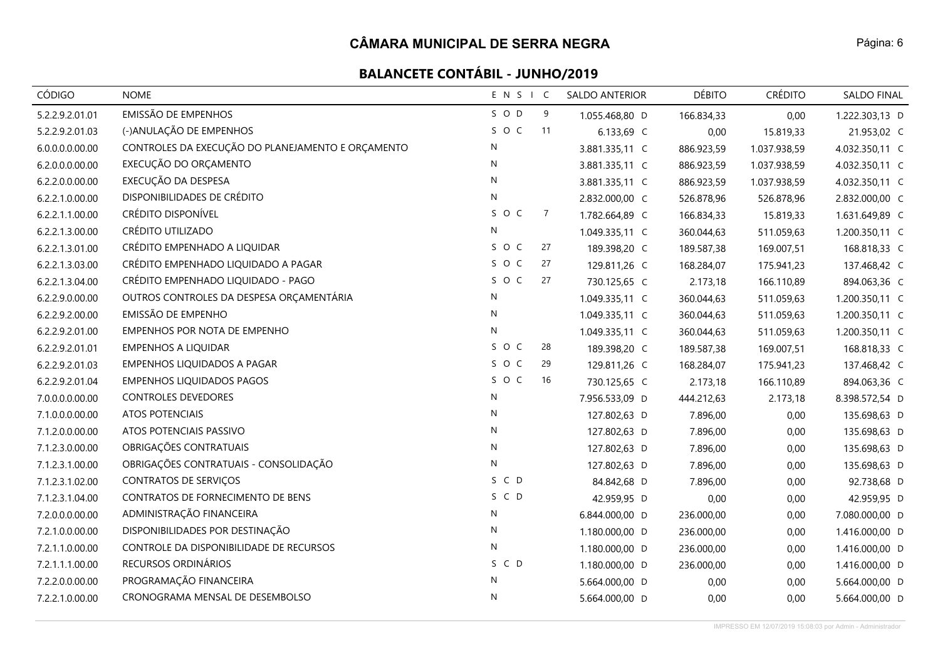| <b>CÓDIGO</b>   | <b>NOME</b>                                       | ENSIC        |                | SALDO ANTERIOR | <b>DÉBITO</b> | <b>CRÉDITO</b> | SALDO FINAL    |
|-----------------|---------------------------------------------------|--------------|----------------|----------------|---------------|----------------|----------------|
| 5.2.2.9.2.01.01 | <b>EMISSÃO DE EMPENHOS</b>                        | S O D        | 9              | 1.055.468,80 D | 166.834,33    | 0,00           | 1.222.303,13 D |
| 5.2.2.9.2.01.03 | (-)ANULAÇÃO DE EMPENHOS                           | SOC          | 11             | 6.133,69 C     | 0,00          | 15.819,33      | 21.953,02 C    |
| 6.0.0.0.0.00.00 | CONTROLES DA EXECUÇÃO DO PLANEJAMENTO E ORÇAMENTO | N            |                | 3.881.335,11 C | 886.923,59    | 1.037.938,59   | 4.032.350,11 C |
| 6.2.0.0.0.00.00 | EXECUÇÃO DO ORÇAMENTO                             | N            |                | 3.881.335,11 C | 886.923,59    | 1.037.938,59   | 4.032.350,11 C |
| 6.2.2.0.0.00.00 | EXECUÇÃO DA DESPESA                               | $\mathsf{N}$ |                | 3.881.335,11 C | 886.923,59    | 1.037.938,59   | 4.032.350,11 C |
| 6.2.2.1.0.00.00 | DISPONIBILIDADES DE CRÉDITO                       | N            |                | 2.832.000,00 C | 526.878,96    | 526.878,96     | 2.832.000,00 C |
| 6.2.2.1.1.00.00 | CRÉDITO DISPONÍVEL                                | SOC          | $\overline{7}$ | 1.782.664,89 C | 166.834,33    | 15.819,33      | 1.631.649,89 C |
| 6.2.2.1.3.00.00 | CRÉDITO UTILIZADO                                 | ${\sf N}$    |                | 1.049.335,11 C | 360.044,63    | 511.059,63     | 1.200.350,11 C |
| 6.2.2.1.3.01.00 | CRÉDITO EMPENHADO A LIQUIDAR                      | SOC          | 27             | 189.398,20 C   | 189.587,38    | 169.007,51     | 168.818,33 C   |
| 6.2.2.1.3.03.00 | CRÉDITO EMPENHADO LIQUIDADO A PAGAR               | SOC          | 27             | 129.811,26 C   | 168.284,07    | 175.941,23     | 137.468,42 C   |
| 6.2.2.1.3.04.00 | CRÉDITO EMPENHADO LIQUIDADO - PAGO                | SOC          | 27             | 730.125,65 C   | 2.173,18      | 166.110,89     | 894.063,36 C   |
| 6.2.2.9.0.00.00 | OUTROS CONTROLES DA DESPESA ORÇAMENTÁRIA          | ${\sf N}$    |                | 1.049.335,11 C | 360.044,63    | 511.059,63     | 1.200.350,11 C |
| 6.2.2.9.2.00.00 | EMISSÃO DE EMPENHO                                | ${\sf N}$    |                | 1.049.335,11 C | 360.044,63    | 511.059,63     | 1.200.350,11 C |
| 6.2.2.9.2.01.00 | EMPENHOS POR NOTA DE EMPENHO                      | $\mathsf{N}$ |                | 1.049.335,11 C | 360.044,63    | 511.059,63     | 1.200.350,11 C |
| 6.2.2.9.2.01.01 | <b>EMPENHOS A LIQUIDAR</b>                        | SOC          | 28             | 189.398,20 C   | 189.587,38    | 169.007,51     | 168.818,33 C   |
| 6.2.2.9.2.01.03 | EMPENHOS LIQUIDADOS A PAGAR                       | SOC          | 29             | 129.811,26 C   | 168.284,07    | 175.941,23     | 137.468,42 C   |
| 6.2.2.9.2.01.04 | <b>EMPENHOS LIQUIDADOS PAGOS</b>                  | SOC          | 16             | 730.125,65 C   | 2.173,18      | 166.110,89     | 894.063,36 C   |
| 7.0.0.0.0.00.00 | <b>CONTROLES DEVEDORES</b>                        | N            |                | 7.956.533,09 D | 444.212,63    | 2.173,18       | 8.398.572,54 D |
| 7.1.0.0.0.00.00 | <b>ATOS POTENCIAIS</b>                            | N            |                | 127.802,63 D   | 7.896,00      | 0,00           | 135.698,63 D   |
| 7.1.2.0.0.00.00 | ATOS POTENCIAIS PASSIVO                           | N            |                | 127.802,63 D   | 7.896,00      | 0,00           | 135.698,63 D   |
| 7.1.2.3.0.00.00 | OBRIGAÇÕES CONTRATUAIS                            | ${\sf N}$    |                | 127.802,63 D   | 7.896,00      | 0,00           | 135.698,63 D   |
| 7.1.2.3.1.00.00 | OBRIGAÇÕES CONTRATUAIS - CONSOLIDAÇÃO             | ${\sf N}$    |                | 127.802,63 D   | 7.896,00      | 0,00           | 135.698,63 D   |
| 7.1.2.3.1.02.00 | <b>CONTRATOS DE SERVIÇOS</b>                      | S C D        |                | 84.842,68 D    | 7.896,00      | 0,00           | 92.738,68 D    |
| 7.1.2.3.1.04.00 | CONTRATOS DE FORNECIMENTO DE BENS                 | S C D        |                | 42.959,95 D    | 0,00          | 0,00           | 42.959,95 D    |
| 7.2.0.0.0.00.00 | ADMINISTRAÇÃO FINANCEIRA                          | ${\sf N}$    |                | 6.844.000,00 D | 236.000,00    | 0,00           | 7.080.000,00 D |
| 7.2.1.0.0.00.00 | DISPONIBILIDADES POR DESTINAÇÃO                   | ${\sf N}$    |                | 1.180.000,00 D | 236.000,00    | 0,00           | 1.416.000,00 D |
| 7.2.1.1.0.00.00 | CONTROLE DA DISPONIBILIDADE DE RECURSOS           | N            |                | 1.180.000,00 D | 236.000,00    | 0,00           | 1.416.000,00 D |
| 7.2.1.1.1.00.00 | RECURSOS ORDINÁRIOS                               | S C D        |                | 1.180.000,00 D | 236.000,00    | 0,00           | 1.416.000,00 D |
| 7.2.2.0.0.00.00 | PROGRAMAÇÃO FINANCEIRA                            | N            |                | 5.664.000,00 D | 0,00          | 0,00           | 5.664.000,00 D |
| 7.2.2.1.0.00.00 | CRONOGRAMA MENSAL DE DESEMBOLSO                   | $\mathsf{N}$ |                | 5.664.000,00 D | 0,00          | 0,00           | 5.664.000,00 D |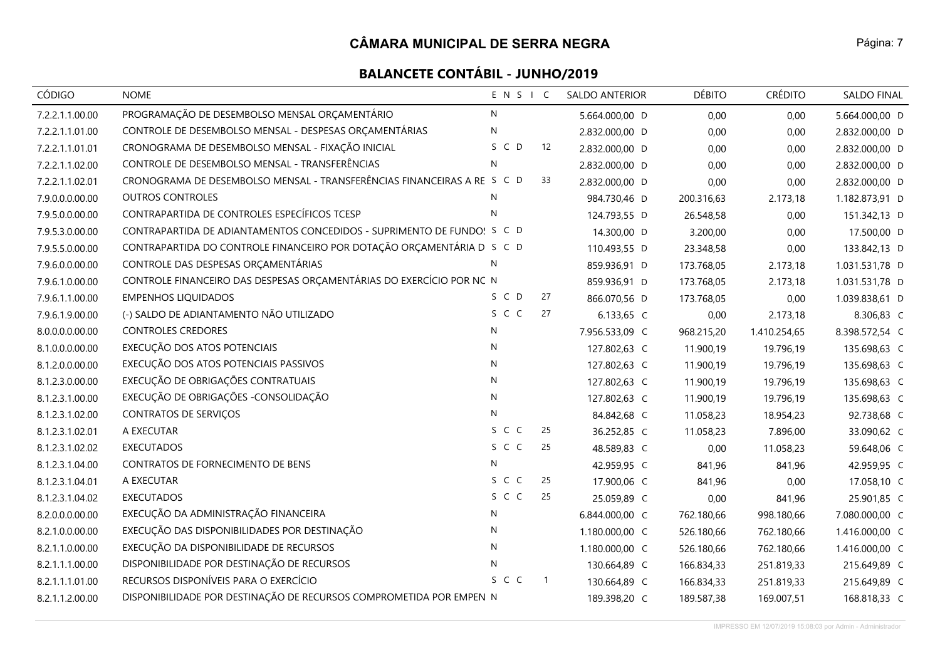| <b>CÓDIGO</b>   | <b>NOME</b>                                                             | ENSIC        |                | SALDO ANTERIOR | <b>DÉBITO</b> | <b>CRÉDITO</b> | SALDO FINAL    |
|-----------------|-------------------------------------------------------------------------|--------------|----------------|----------------|---------------|----------------|----------------|
| 7.2.2.1.1.00.00 | PROGRAMAÇÃO DE DESEMBOLSO MENSAL ORÇAMENTÁRIO                           | N            |                | 5.664.000,00 D | 0,00          | 0,00           | 5.664.000,00 D |
| 7.2.2.1.1.01.00 | CONTROLE DE DESEMBOLSO MENSAL - DESPESAS ORÇAMENTÁRIAS                  | ${\sf N}$    |                | 2.832.000,00 D | 0,00          | 0,00           | 2.832.000,00 D |
| 7.2.2.1.1.01.01 | CRONOGRAMA DE DESEMBOLSO MENSAL - FIXAÇÃO INICIAL                       | S C D        | 12             | 2.832.000,00 D | 0,00          | 0,00           | 2.832.000,00 D |
| 7.2.2.1.1.02.00 | CONTROLE DE DESEMBOLSO MENSAL - TRANSFERÊNCIAS                          | N            |                | 2.832.000,00 D | 0,00          | 0,00           | 2.832.000,00 D |
| 7.2.2.1.1.02.01 | CRONOGRAMA DE DESEMBOLSO MENSAL - TRANSFERÊNCIAS FINANCEIRAS A RE S C D |              | 33             | 2.832.000,00 D | 0,00          | 0,00           | 2.832.000,00 D |
| 7.9.0.0.0.00.00 | <b>OUTROS CONTROLES</b>                                                 | N            |                | 984.730,46 D   | 200.316,63    | 2.173,18       | 1.182.873,91 D |
| 7.9.5.0.0.00.00 | CONTRAPARTIDA DE CONTROLES ESPECÍFICOS TCESP                            | N            |                | 124.793,55 D   | 26.548,58     | 0,00           | 151.342,13 D   |
| 7.9.5.3.0.00.00 | CONTRAPARTIDA DE ADIANTAMENTOS CONCEDIDOS - SUPRIMENTO DE FUNDO! S C D  |              |                | 14.300,00 D    | 3.200,00      | 0,00           | 17.500,00 D    |
| 7.9.5.5.0.00.00 | CONTRAPARTIDA DO CONTROLE FINANCEIRO POR DOTAÇÃO ORÇAMENTÁRIA D S C D   |              |                | 110.493,55 D   | 23.348,58     | 0,00           | 133.842,13 D   |
| 7.9.6.0.0.00.00 | CONTROLE DAS DESPESAS ORÇAMENTÁRIAS                                     | N            |                | 859.936,91 D   | 173.768,05    | 2.173,18       | 1.031.531,78 D |
| 7.9.6.1.0.00.00 | CONTROLE FINANCEIRO DAS DESPESAS ORÇAMENTÁRIAS DO EXERCÍCIO POR NC N    |              |                | 859.936,91 D   | 173.768,05    | 2.173,18       | 1.031.531,78 D |
| 7.9.6.1.1.00.00 | <b>EMPENHOS LIQUIDADOS</b>                                              | S C D        | 27             | 866.070,56 D   | 173.768,05    | 0,00           | 1.039.838,61 D |
| 7.9.6.1.9.00.00 | (-) SALDO DE ADIANTAMENTO NÃO UTILIZADO                                 | S C C        | 27             | 6.133,65 C     | 0,00          | 2.173,18       | 8.306,83 C     |
| 8.0.0.0.0.00.00 | <b>CONTROLES CREDORES</b>                                               | N            |                | 7.956.533,09 C | 968.215,20    | 1.410.254,65   | 8.398.572,54 C |
| 8.1.0.0.0.00.00 | EXECUÇÃO DOS ATOS POTENCIAIS                                            | ${\sf N}$    |                | 127.802,63 C   | 11.900,19     | 19.796,19      | 135.698,63 C   |
| 8.1.2.0.0.00.00 | EXECUÇÃO DOS ATOS POTENCIAIS PASSIVOS                                   | N            |                | 127.802,63 C   | 11.900,19     | 19.796,19      | 135.698,63 C   |
| 8.1.2.3.0.00.00 | EXECUÇÃO DE OBRIGAÇÕES CONTRATUAIS                                      | N            |                | 127.802,63 C   | 11.900,19     | 19.796,19      | 135.698,63 C   |
| 8.1.2.3.1.00.00 | EXECUÇÃO DE OBRIGAÇÕES - CONSOLIDAÇÃO                                   | $\mathsf{N}$ |                | 127.802,63 C   | 11.900,19     | 19.796,19      | 135.698,63 C   |
| 8.1.2.3.1.02.00 | <b>CONTRATOS DE SERVIÇOS</b>                                            | N            |                | 84.842,68 C    | 11.058,23     | 18.954,23      | 92.738,68 C    |
| 8.1.2.3.1.02.01 | A EXECUTAR                                                              | S C C        | 25             | 36.252,85 C    | 11.058,23     | 7.896,00       | 33.090,62 C    |
| 8.1.2.3.1.02.02 | <b>EXECUTADOS</b>                                                       | S C C        | 25             | 48.589,83 C    | 0,00          | 11.058,23      | 59.648,06 C    |
| 8.1.2.3.1.04.00 | CONTRATOS DE FORNECIMENTO DE BENS                                       | N            |                | 42.959,95 C    | 841,96        | 841,96         | 42.959,95 C    |
| 8.1.2.3.1.04.01 | A EXECUTAR                                                              | S C C        | 25             | 17.900,06 C    | 841,96        | 0,00           | 17.058,10 C    |
| 8.1.2.3.1.04.02 | <b>EXECUTADOS</b>                                                       | S C C        | 25             | 25.059,89 C    | 0,00          | 841,96         | 25.901,85 C    |
| 8.2.0.0.0.00.00 | EXECUÇÃO DA ADMINISTRAÇÃO FINANCEIRA                                    | $\mathsf{N}$ |                | 6.844.000,00 C | 762.180,66    | 998.180,66     | 7.080.000,00 C |
| 8.2.1.0.0.00.00 | EXECUÇÃO DAS DISPONIBILIDADES POR DESTINAÇÃO                            | ${\sf N}$    |                | 1.180.000,00 C | 526.180,66    | 762.180,66     | 1.416.000,00 C |
| 8.2.1.1.0.00.00 | EXECUÇÃO DA DISPONIBILIDADE DE RECURSOS                                 | N            |                | 1.180.000,00 C | 526.180,66    | 762.180,66     | 1.416.000,00 C |
| 8.2.1.1.1.00.00 | DISPONIBILIDADE POR DESTINAÇÃO DE RECURSOS                              | $\mathsf{N}$ |                | 130.664,89 C   | 166.834,33    | 251.819,33     | 215.649,89 C   |
| 8.2.1.1.1.01.00 | RECURSOS DISPONÍVEIS PARA O EXERCÍCIO                                   | S C C        | $\overline{1}$ | 130.664,89 C   | 166.834,33    | 251.819,33     | 215.649,89 C   |
| 8.2.1.1.2.00.00 | DISPONIBILIDADE POR DESTINAÇÃO DE RECURSOS COMPROMETIDA POR EMPEN N     |              |                | 189.398,20 C   | 189.587,38    | 169.007,51     | 168.818,33 C   |